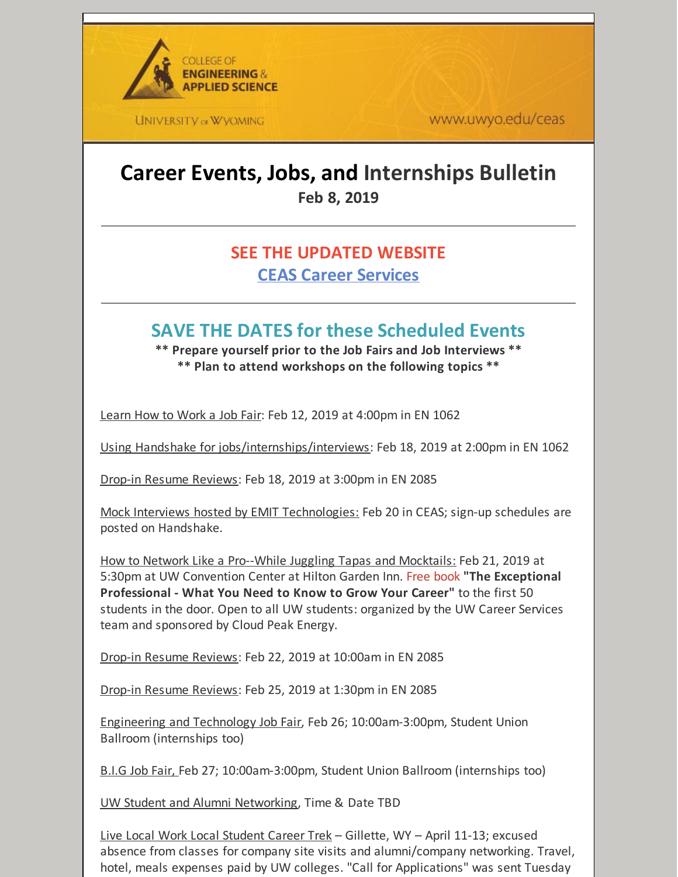

**UNIVERSITY OF WYOMING** 

www.uwyo.edu/ceas

# **Career Events, Jobs, and Internships Bulletin Feb 8, 2019**

### **SEE THE UPDATED WEBSITE CEAS Career [Services](http://www.uwyo.edu/ceas/resources/studentservices/jobs/index.html)**

## **SAVE THE DATES for these Scheduled Events**

**\*\* Prepare yourself prior to the Job Fairs and Job Interviews \*\* \*\* Plan to attend workshops on the following topics \*\***

Learn How to Work a Job Fair: Feb 12, 2019 at 4:00pm in EN 1062

Using Handshake for jobs/internships/interviews: Feb 18, 2019 at 2:00pm in EN 1062

Drop-in Resume Reviews: Feb 18, 2019 at 3:00pm in EN 2085

Mock Interviews hosted by EMIT Technologies: Feb 20 in CEAS; sign-up schedules are posted on Handshake.

How to Network Like a Pro--While Juggling Tapas and Mocktails: Feb 21, 2019 at 5:30pm at UW Convention Center at Hilton Garden Inn. Free book **"The Exceptional Professional - What You Need to Know to Grow Your Career"** to the first 50 students in the door. Open to all UW students: organized by the UW Career Services team and sponsored by Cloud Peak Energy.

Drop-in Resume Reviews: Feb 22, 2019 at 10:00am in EN 2085

Drop-in Resume Reviews: Feb 25, 2019 at 1:30pm in EN 2085

Engineering and Technology Job Fair, Feb 26; 10:00am-3:00pm, Student Union Ballroom (internships too)

B.I.G Job Fair, Feb 27; 10:00am-3:00pm, Student Union Ballroom (internships too)

UW Student and Alumni Networking, Time & Date TBD

Live Local Work Local Student Career Trek – Gillette, WY – April 11-13; excused absence from classes for company site visits and alumni/company networking. Travel, hotel, meals expenses paid by UW colleges. "Call for Applications" was sent Tuesday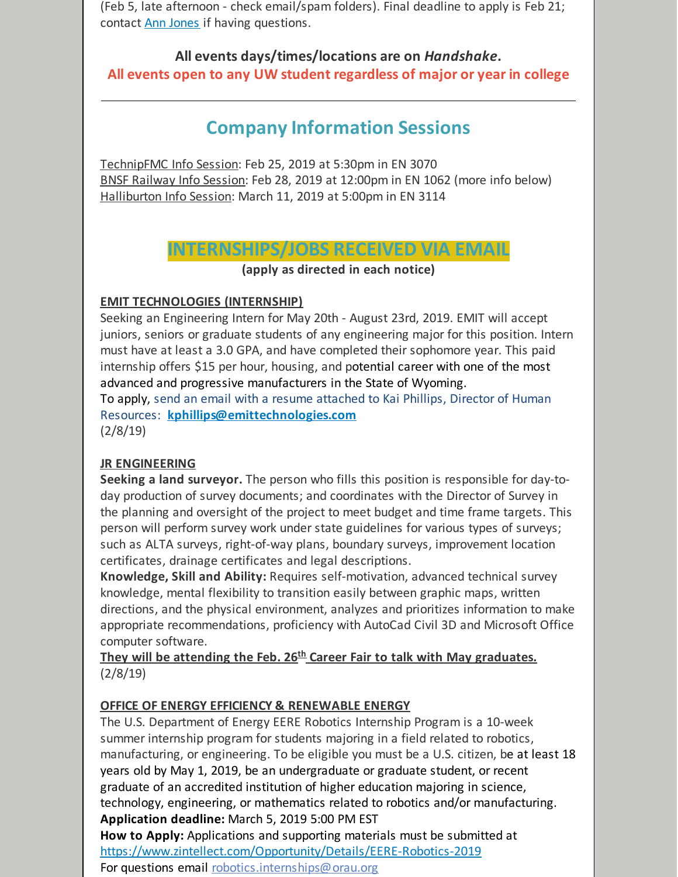(Feb 5, late afternoon - check email/spam folders). Final deadline to apply is Feb 21; contact **Ann [Jones](mailto:aljones@uwyo.edu)** if having questions.

**All events days/times/locations are on** *Handshake***. All events open to any UW student regardless of major or year in college**

## **Company Information Sessions**

TechnipFMC Info Session: Feb 25, 2019 at 5:30pm in EN 3070 BNSF Railway Info Session: Feb 28, 2019 at 12:00pm in EN 1062 (more info below) Halliburton Info Session: March 11, 2019 at 5:00pm in EN 3114

**INTERNSHIPS/JOBS RECEIVED VIA EMAIL**

**(apply as directed in each notice)**

#### **EMIT TECHNOLOGIES (INTERNSHIP)**

Seeking an Engineering Intern for May 20th - August 23rd, 2019. EMIT will accept juniors, seniors or graduate students of any engineering major for this position. Intern must have at least a 3.0 GPA, and have completed their sophomore year. This paid internship offers \$15 per hour, housing, and potential career with one of the most advanced and progressive manufacturers in the State of Wyoming.

To apply, send an email with a resume attached to Kai Phillips, Director of Human Resources: **[kphillips@emittechnologies.com](mailto:kphillips@emittechnologies.com)**

(2/8/19)

#### **JR ENGINEERING**

**Seeking a land surveyor.** The person who fills this position is responsible for day-today production of survey documents; and coordinates with the Director of Survey in the planning and oversight of the project to meet budget and time frame targets. This person will perform survey work under state guidelines for various types of surveys; such as ALTA surveys, right-of-way plans, boundary surveys, improvement location certificates, drainage certificates and legal descriptions.

**Knowledge, Skill and Ability:** Requires self-motivation, advanced technical survey knowledge, mental flexibility to transition easily between graphic maps, written directions, and the physical environment, analyzes and prioritizes information to make appropriate recommendations, proficiency with AutoCad Civil 3D and Microsoft Office computer software.

**They will be attending the Feb. 26 th Career Fair to talk with May graduates.** (2/8/19)

#### **OFFICE OF ENERGY EFFICIENCY & RENEWABLE ENERGY**

The U.S. Department of Energy EERE Robotics Internship Program is a 10-week summer internship program for students majoring in a field related to robotics, manufacturing, or engineering. To be eligible you must be a U.S. citizen, be at least 18 years old by May 1, 2019, be an undergraduate or graduate student, or recent graduate of an accredited institution of higher education majoring in science, technology, engineering, or mathematics related to robotics and/or manufacturing. **Application deadline:** March 5, 2019 5:00 PM EST **How to Apply:** Applications and supporting materials must be submitted at

<https://www.zintellect.com/Opportunity/Details/EERE-Robotics-2019>

For questions email [robotics.internships@orau.org](mailto:robotics.internships@orau.org)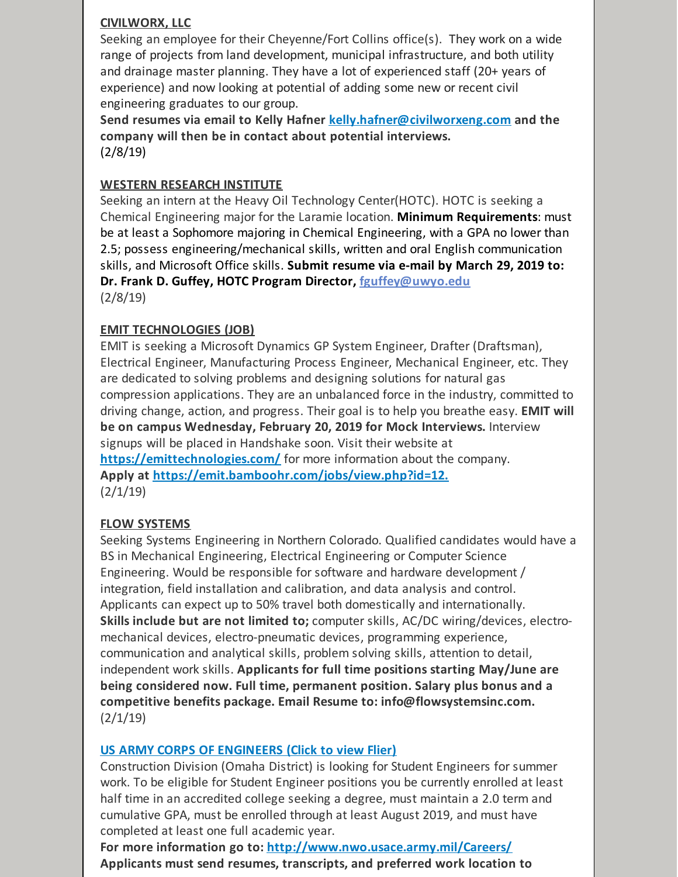#### **CIVILWORX, LLC**

Seeking an employee for their Cheyenne/Fort Collins office(s). They work on a wide range of projects from land development, municipal infrastructure, and both utility and drainage master planning. They have a lot of experienced staff (20+ years of experience) and now looking at potential of adding some new or recent civil engineering graduates to our group.

**Send resumes via email to Kelly Hafner [kelly.hafner@civilworxeng.com](mailto:kelly.hafner@civilworxeng.com) and the company will then be in contact about potential interviews.** (2/8/19)

#### **WESTERN RESEARCH INSTITUTE**

Seeking an intern at the Heavy Oil Technology Center(HOTC). HOTC is seeking a Chemical Engineering major for the Laramie location. **Minimum Requirements**: must be at least a Sophomore majoring in Chemical Engineering, with a GPA no lower than 2.5; possess engineering/mechanical skills, written and oral English communication skills, and Microsoft Office skills. **Submit resume via e-mail by March 29, 2019 to: Dr. Frank D. Guffey, HOTC Program Director, [fguffey@uwyo.edu](mailto:fguffey@uwyo.edu)** (2/8/19)

#### **EMIT TECHNOLOGIES (JOB)**

EMIT is seeking a Microsoft Dynamics GP System Engineer, Drafter (Draftsman), Electrical Engineer, Manufacturing Process Engineer, Mechanical Engineer, etc. They are dedicated to solving problems and designing solutions for natural gas compression applications. They are an unbalanced force in the industry, committed to driving change, action, and progress. Their goal is to help you breathe easy. **EMIT will be on campus Wednesday, February 20, 2019 for Mock Interviews.** Interview signups will be placed in Handshake soon. Visit their website at **<https://emittechnologies.com/>** for more information about the company. **Apply at [https://emit.bamboohr.com/jobs/view.php?id=12.](https://emit.bamboohr.com/jobs/view.php?id=12)**  $(2/1/19)$ 

#### **FLOW SYSTEMS**

Seeking Systems Engineering in Northern Colorado. Qualified candidates would have a BS in Mechanical Engineering, Electrical Engineering or Computer Science Engineering. Would be responsible for software and hardware development / integration, field installation and calibration, and data analysis and control. Applicants can expect up to 50% travel both domestically and internationally. **Skills include but are not limited to;** computer skills, AC/DC wiring/devices, electromechanical devices, electro-pneumatic devices, programming experience, communication and analytical skills, problem solving skills, attention to detail, independent work skills. **Applicants for full time positions starting May/June are being considered now. Full time, permanent position. Salary plus bonus and a competitive benefits package. Email Resume to: info@flowsystemsinc.com.** (2/1/19)

#### **US ARMY CORPS OF [ENGINEERS](https://files.constantcontact.com/b2624f04701/527cbe14-4614-4e2a-871e-5c02a6e612b4.pdf) (Click to view Flier)**

Construction Division (Omaha District) is looking for Student Engineers for summer work. To be eligible for Student Engineer positions you be currently enrolled at least half time in an accredited college seeking a degree, must maintain a 2.0 term and cumulative GPA, must be enrolled through at least August 2019, and must have completed at least one full academic year.

**For more information go to: <http://www.nwo.usace.army.mil/Careers/> Applicants must send resumes, transcripts, and preferred work location to**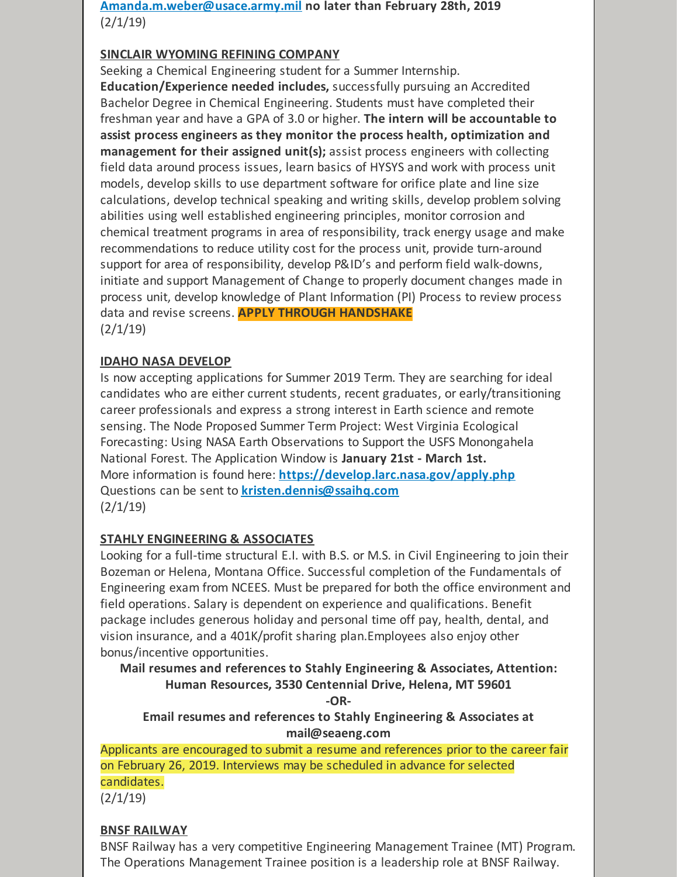**[Amanda.m.weber@usace.army.mil](mailto:Amanda.m.weber@usace.army.mil) no later than February 28th, 2019**  $(2/1/19)$ 

#### **SINCLAIR WYOMING REFINING COMPANY**

Seeking a Chemical Engineering student for a Summer Internship. **Education/Experience needed includes,** successfully pursuing an Accredited Bachelor Degree in Chemical Engineering. Students must have completed their freshman year and have a GPA of 3.0 or higher. **The intern will be accountable to assist process engineers as they monitor the process health, optimization and management for their assigned unit(s);** assist process engineers with collecting field data around process issues, learn basics of HYSYS and work with process unit models, develop skills to use department software for orifice plate and line size calculations, develop technical speaking and writing skills, develop problem solving abilities using well established engineering principles, monitor corrosion and chemical treatment programs in area of responsibility, track energy usage and make recommendations to reduce utility cost for the process unit, provide turn-around support for area of responsibility, develop P&ID's and perform field walk-downs, initiate and support Management of Change to properly document changes made in process unit, develop knowledge of Plant Information (PI) Process to review process data and revise screens. **APPLY THROUGH HANDSHAKE**  $(2/1/19)$ 

#### **IDAHO NASA DEVELOP**

Is now accepting applications for Summer 2019 Term. They are searching for ideal candidates who are either current students, recent graduates, or early/transitioning career professionals and express a strong interest in Earth science and remote sensing. The Node Proposed Summer Term Project: West Virginia Ecological Forecasting: Using NASA Earth Observations to Support the USFS Monongahela National Forest. The Application Window is **January 21st - March 1st.** More information is found here: **<https://develop.larc.nasa.gov/apply.php>** Questions can be sent to **[kristen.dennis@ssaihq.com](mailto:kristen.dennis@ssaihq.com)**  $(2/1/19)$ 

#### **STAHLY ENGINEERING & ASSOCIATES**

Looking for a full-time structural E.I. with B.S. or M.S. in Civil Engineering to join their Bozeman or Helena, Montana Office. Successful completion of the Fundamentals of Engineering exam from NCEES. Must be prepared for both the office environment and field operations. Salary is dependent on experience and qualifications. Benefit package includes generous holiday and personal time off pay, health, dental, and vision insurance, and a 401K/profit sharing plan.Employees also enjoy other bonus/incentive opportunities.

**Mail resumes and references to Stahly Engineering & Associates, Attention: Human Resources, 3530 Centennial Drive, Helena, MT 59601**

**-OR-**

**Email resumes and references to Stahly Engineering & Associates at mail@seaeng.com**

Applicants are encouraged to submit a resume and references prior to the career fair on February 26, 2019. Interviews may be scheduled in advance for selected candidates.

 $(2/1/19)$ 

#### **BNSF RAILWAY**

BNSF Railway has a very competitive Engineering Management Trainee (MT) Program. The Operations Management Trainee position is a leadership role at BNSF Railway.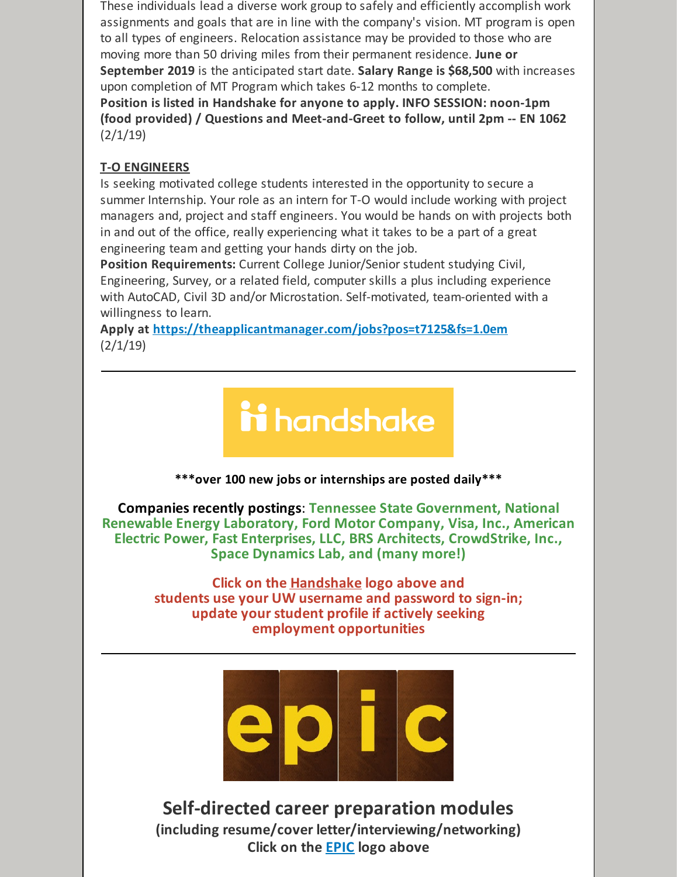These individuals lead a diverse work group to safely and efficiently accomplish work assignments and goals that are in line with the company's vision. MT program is open to all types of engineers. Relocation assistance may be provided to those who are moving more than 50 driving miles from their permanent residence. **June or September 2019** is the anticipated start date. **Salary Range is \$68,500** with increases upon completion of MT Program which takes 6-12 months to complete. **Position is listed in Handshake for anyone to apply. INFO SESSION: noon-1pm (food provided) / Questions and Meet-and-Greet to follow, until 2pm -- EN 1062**  $(2/1/19)$ 

#### **T-O ENGINEERS**

Is seeking motivated college students interested in the opportunity to secure a summer Internship. Your role as an intern for T-O would include working with project managers and, project and staff engineers. You would be hands on with projects both in and out of the office, really experiencing what it takes to be a part of a great engineering team and getting your hands dirty on the job.

**Position Requirements:** Current College Junior/Senior student studying Civil, Engineering, Survey, or a related field, computer skills a plus including experience with AutoCAD, Civil 3D and/or Microstation. Self-motivated, team-oriented with a willingness to learn.

**Apply at <https://theapplicantmanager.com/jobs?pos=t7125&fs=1.0em>**  $(2/1/19)$ 

# ii handshake

**\*\*\*over 100 new jobs or internships are posted daily\*\*\***

**Companies recently postings**: **Tennessee State Government, National Renewable Energy Laboratory, Ford Motor Company, Visa, Inc., American Electric Power, Fast Enterprises, LLC, BRS Architects, CrowdStrike, Inc., Space Dynamics Lab, and (many more!)**

> **Click on the [Handshake](http://www.uwyo.edu/aces/career-services/handshake.html) logo above and students use your UW username and password to sign-in; update your student profile if actively seeking employment opportunities**



**Self-directed career preparation modules (including resume/cover letter/interviewing/networking) Click on the [EPIC](http://www.uwyo.edu/aces/epic.html) logo above**